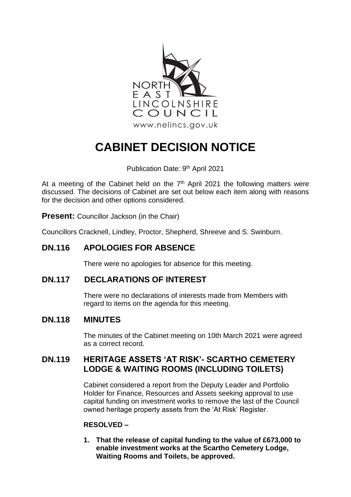

# **CABINET DECISION NOTICE**

Publication Date: 9<sup>th</sup> April 2021

At a meeting of the Cabinet held on the  $7<sup>th</sup>$  April 2021 the following matters were discussed. The decisions of Cabinet are set out below each item along with reasons for the decision and other options considered.

**Present:** Councillor Jackson (in the Chair)

Councillors Cracknell, Lindley, Proctor, Shepherd, Shreeve and S. Swinburn.

# **DN.116 APOLOGIES FOR ABSENCE**

There were no apologies for absence for this meeting.

# **DN.117 DECLARATIONS OF INTEREST**

There were no declarations of interests made from Members with regard to items on the agenda for this meeting.

## **DN.118 MINUTES**

The minutes of the Cabinet meeting on 10th March 2021 were agreed as a correct record.

## **DN.119 HERITAGE ASSETS 'AT RISK'- SCARTHO CEMETERY LODGE & WAITING ROOMS (INCLUDING TOILETS)**

Cabinet considered a report from the Deputy Leader and Portfolio Holder for Finance, Resources and Assets seeking approval to use capital funding on investment works to remove the last of the Council owned heritage property assets from the 'At Risk' Register.

## **RESOLVED –**

**1. That the release of capital funding to the value of £673,000 to enable investment works at the Scartho Cemetery Lodge, Waiting Rooms and Toilets, be approved.**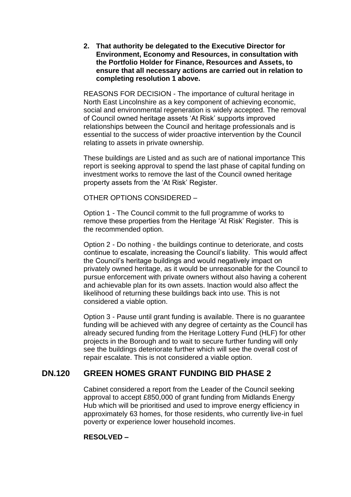**2. That authority be delegated to the Executive Director for Environment, Economy and Resources, in consultation with the Portfolio Holder for Finance, Resources and Assets, to ensure that all necessary actions are carried out in relation to completing resolution 1 above.**

REASONS FOR DECISION - The importance of cultural heritage in North East Lincolnshire as a key component of achieving economic, social and environmental regeneration is widely accepted. The removal of Council owned heritage assets 'At Risk' supports improved relationships between the Council and heritage professionals and is essential to the success of wider proactive intervention by the Council relating to assets in private ownership.

These buildings are Listed and as such are of national importance This report is seeking approval to spend the last phase of capital funding on investment works to remove the last of the Council owned heritage property assets from the 'At Risk' Register.

OTHER OPTIONS CONSIDERED –

Option 1 - The Council commit to the full programme of works to remove these properties from the Heritage 'At Risk' Register. This is the recommended option.

Option 2 - Do nothing - the buildings continue to deteriorate, and costs continue to escalate, increasing the Council's liability. This would affect the Council's heritage buildings and would negatively impact on privately owned heritage, as it would be unreasonable for the Council to pursue enforcement with private owners without also having a coherent and achievable plan for its own assets. Inaction would also affect the likelihood of returning these buildings back into use. This is not considered a viable option.

Option 3 - Pause until grant funding is available. There is no guarantee funding will be achieved with any degree of certainty as the Council has already secured funding from the Heritage Lottery Fund (HLF) for other projects in the Borough and to wait to secure further funding will only see the buildings deteriorate further which will see the overall cost of repair escalate. This is not considered a viable option.

# **DN.120 GREEN HOMES GRANT FUNDING BID PHASE 2**

Cabinet considered a report from the Leader of the Council seeking approval to accept £850,000 of grant funding from Midlands Energy Hub which will be prioritised and used to improve energy efficiency in approximately 63 homes, for those residents, who currently live-in fuel poverty or experience lower household incomes.

## **RESOLVED –**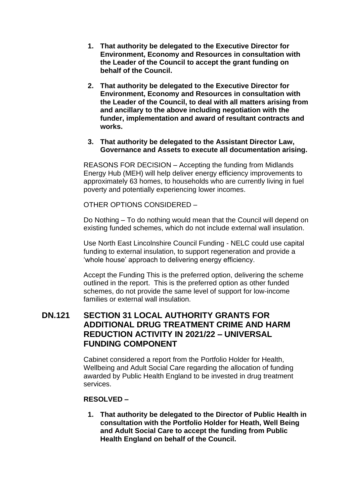- **1. That authority be delegated to the Executive Director for Environment, Economy and Resources in consultation with the Leader of the Council to accept the grant funding on behalf of the Council.**
- **2. That authority be delegated to the Executive Director for Environment, Economy and Resources in consultation with the Leader of the Council, to deal with all matters arising from and ancillary to the above including negotiation with the funder, implementation and award of resultant contracts and works.**

#### **3. That authority be delegated to the Assistant Director Law, Governance and Assets to execute all documentation arising.**

REASONS FOR DECISION – Accepting the funding from Midlands Energy Hub (MEH) will help deliver energy efficiency improvements to approximately 63 homes, to households who are currently living in fuel poverty and potentially experiencing lower incomes.

OTHER OPTIONS CONSIDERED –

Do Nothing – To do nothing would mean that the Council will depend on existing funded schemes, which do not include external wall insulation.

Use North East Lincolnshire Council Funding - NELC could use capital funding to external insulation, to support regeneration and provide a 'whole house' approach to delivering energy efficiency.

Accept the Funding This is the preferred option, delivering the scheme outlined in the report. This is the preferred option as other funded schemes, do not provide the same level of support for low-income families or external wall insulation.

## **DN.121 SECTION 31 LOCAL AUTHORITY GRANTS FOR ADDITIONAL DRUG TREATMENT CRIME AND HARM REDUCTION ACTIVITY IN 2021/22 – UNIVERSAL FUNDING COMPONENT**

Cabinet considered a report from the Portfolio Holder for Health, Wellbeing and Adult Social Care regarding the allocation of funding awarded by Public Health England to be invested in drug treatment services.

## **RESOLVED –**

**1. That authority be delegated to the Director of Public Health in consultation with the Portfolio Holder for Heath, Well Being and Adult Social Care to accept the funding from Public Health England on behalf of the Council.**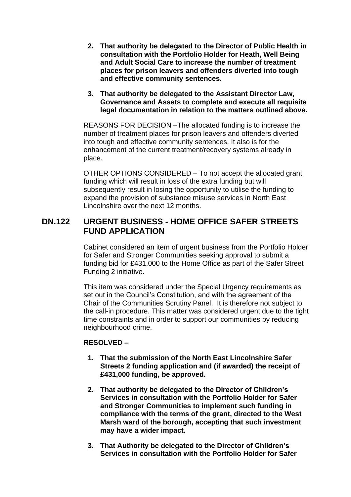- **2. That authority be delegated to the Director of Public Health in consultation with the Portfolio Holder for Heath, Well Being and Adult Social Care to increase the number of treatment places for prison leavers and offenders diverted into tough and effective community sentences.**
- **3. That authority be delegated to the Assistant Director Law, Governance and Assets to complete and execute all requisite legal documentation in relation to the matters outlined above.**

REASONS FOR DECISION –The allocated funding is to increase the number of treatment places for prison leavers and offenders diverted into tough and effective community sentences. It also is for the enhancement of the current treatment/recovery systems already in place.

OTHER OPTIONS CONSIDERED – To not accept the allocated grant funding which will result in loss of the extra funding but will subsequently result in losing the opportunity to utilise the funding to expand the provision of substance misuse services in North East Lincolnshire over the next 12 months.

## **DN.122 URGENT BUSINESS - HOME OFFICE SAFER STREETS FUND APPLICATION**

Cabinet considered an item of urgent business from the Portfolio Holder for Safer and Stronger Communities seeking approval to submit a funding bid for £431,000 to the Home Office as part of the Safer Street Funding 2 initiative.

This item was considered under the Special Urgency requirements as set out in the Council's Constitution, and with the agreement of the Chair of the Communities Scrutiny Panel. It is therefore not subject to the call-in procedure. This matter was considered urgent due to the tight time constraints and in order to support our communities by reducing neighbourhood crime.

## **RESOLVED –**

- **1. That the submission of the North East Lincolnshire Safer Streets 2 funding application and (if awarded) the receipt of £431,000 funding, be approved.**
- **2. That authority be delegated to the Director of Children's Services in consultation with the Portfolio Holder for Safer and Stronger Communities to implement such funding in compliance with the terms of the grant, directed to the West Marsh ward of the borough, accepting that such investment may have a wider impact.**
- **3. That Authority be delegated to the Director of Children's Services in consultation with the Portfolio Holder for Safer**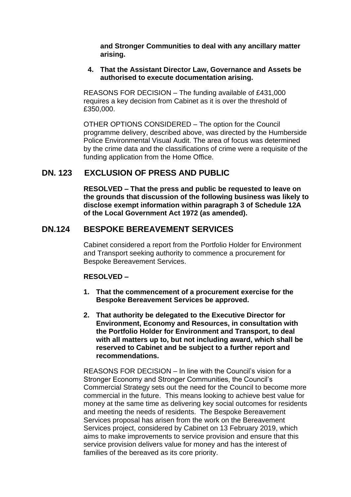**and Stronger Communities to deal with any ancillary matter arising.**

## **4. That the Assistant Director Law, Governance and Assets be authorised to execute documentation arising.**

REASONS FOR DECISION – The funding available of £431,000 requires a key decision from Cabinet as it is over the threshold of £350,000.

OTHER OPTIONS CONSIDERED – The option for the Council programme delivery, described above, was directed by the Humberside Police Environmental Visual Audit. The area of focus was determined by the crime data and the classifications of crime were a requisite of the funding application from the Home Office.

## **DN. 123 EXCLUSION OF PRESS AND PUBLIC**

**RESOLVED – That the press and public be requested to leave on the grounds that discussion of the following business was likely to disclose exempt information within paragraph 3 of Schedule 12A of the Local Government Act 1972 (as amended).**

## **DN.124 BESPOKE BEREAVEMENT SERVICES**

Cabinet considered a report from the Portfolio Holder for Environment and Transport seeking authority to commence a procurement for Bespoke Bereavement Services.

## **RESOLVED –**

- **1. That the commencement of a procurement exercise for the Bespoke Bereavement Services be approved.**
- **2. That authority be delegated to the Executive Director for Environment, Economy and Resources, in consultation with the Portfolio Holder for Environment and Transport, to deal with all matters up to, but not including award, which shall be reserved to Cabinet and be subject to a further report and recommendations.**

REASONS FOR DECISION – In line with the Council's vision for a Stronger Economy and Stronger Communities, the Council's Commercial Strategy sets out the need for the Council to become more commercial in the future. This means looking to achieve best value for money at the same time as delivering key social outcomes for residents and meeting the needs of residents. The Bespoke Bereavement Services proposal has arisen from the work on the Bereavement Services project, considered by Cabinet on 13 February 2019, which aims to make improvements to service provision and ensure that this service provision delivers value for money and has the interest of families of the bereaved as its core priority.